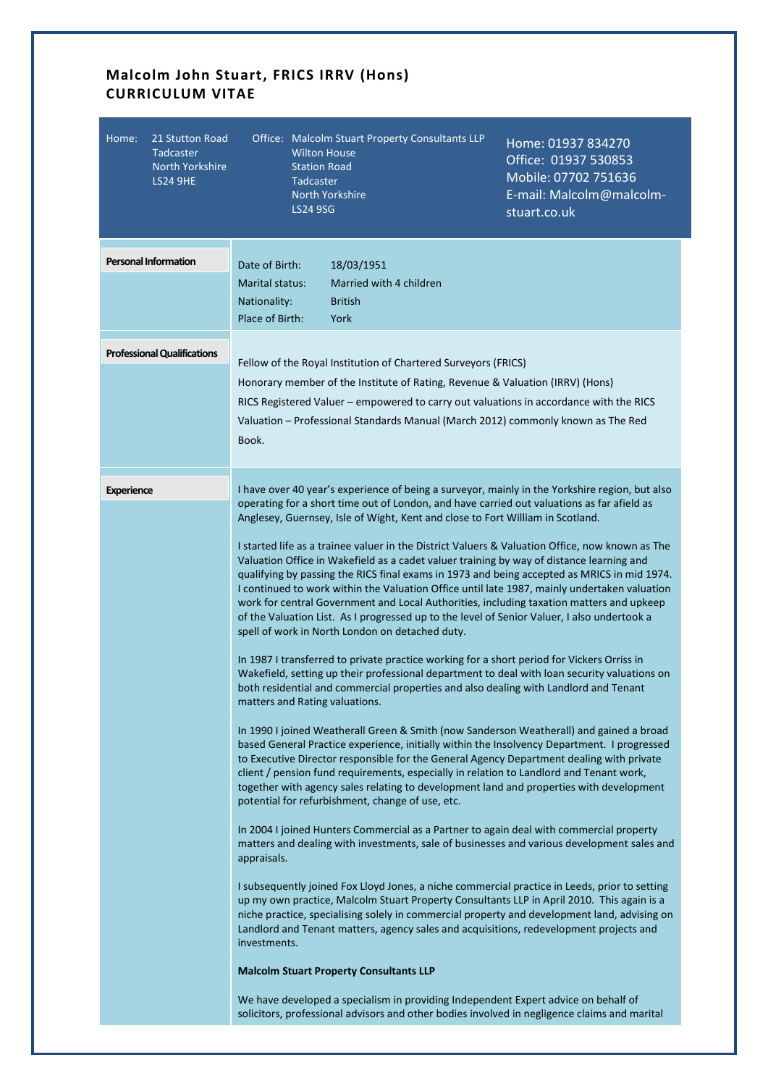## **Malcolm John Stuart, FRICS IRRV (Hons) CURRICULUM VITAE**

| Home:<br>21 Stutton Road<br>Tadcaster<br><b>North Yorkshire</b><br><b>LS24 9HE</b> | Office: Malcolm Stuart Property Consultants LLP<br>Home: 01937 834270<br><b>Wilton House</b><br>Office: 01937 530853<br><b>Station Road</b><br>Mobile: 07702 751636<br>Tadcaster<br>E-mail: Malcolm@malcolm-<br>North Yorkshire<br><b>LS24 9SG</b><br>stuart.co.uk                                                                                                                                                                                                                                                                                                                                                                                                                                                                                                                                                                                                                                                                                                                                                                                                                                                                                                                                                                                                                                                                                                                                                                                                                                                                                                                                                                                                                                                                                                                                                                                                                                                                                                                                                                                                                                                                                                                                                                                                                                                                                                                                                                                                                                                                                                                                                                          |
|------------------------------------------------------------------------------------|---------------------------------------------------------------------------------------------------------------------------------------------------------------------------------------------------------------------------------------------------------------------------------------------------------------------------------------------------------------------------------------------------------------------------------------------------------------------------------------------------------------------------------------------------------------------------------------------------------------------------------------------------------------------------------------------------------------------------------------------------------------------------------------------------------------------------------------------------------------------------------------------------------------------------------------------------------------------------------------------------------------------------------------------------------------------------------------------------------------------------------------------------------------------------------------------------------------------------------------------------------------------------------------------------------------------------------------------------------------------------------------------------------------------------------------------------------------------------------------------------------------------------------------------------------------------------------------------------------------------------------------------------------------------------------------------------------------------------------------------------------------------------------------------------------------------------------------------------------------------------------------------------------------------------------------------------------------------------------------------------------------------------------------------------------------------------------------------------------------------------------------------------------------------------------------------------------------------------------------------------------------------------------------------------------------------------------------------------------------------------------------------------------------------------------------------------------------------------------------------------------------------------------------------------------------------------------------------------------------------------------------------|
| <b>Personal Information</b>                                                        | Date of Birth:<br>18/03/1951<br>Married with 4 children<br>Marital status:<br>Nationality:<br><b>British</b><br>Place of Birth:<br>York                                                                                                                                                                                                                                                                                                                                                                                                                                                                                                                                                                                                                                                                                                                                                                                                                                                                                                                                                                                                                                                                                                                                                                                                                                                                                                                                                                                                                                                                                                                                                                                                                                                                                                                                                                                                                                                                                                                                                                                                                                                                                                                                                                                                                                                                                                                                                                                                                                                                                                     |
| <b>Professional Qualifications</b>                                                 | Fellow of the Royal Institution of Chartered Surveyors (FRICS)<br>Honorary member of the Institute of Rating, Revenue & Valuation (IRRV) (Hons)<br>RICS Registered Valuer - empowered to carry out valuations in accordance with the RICS<br>Valuation - Professional Standards Manual (March 2012) commonly known as The Red<br>Book.                                                                                                                                                                                                                                                                                                                                                                                                                                                                                                                                                                                                                                                                                                                                                                                                                                                                                                                                                                                                                                                                                                                                                                                                                                                                                                                                                                                                                                                                                                                                                                                                                                                                                                                                                                                                                                                                                                                                                                                                                                                                                                                                                                                                                                                                                                      |
| <b>Experience</b>                                                                  | I have over 40 year's experience of being a surveyor, mainly in the Yorkshire region, but also<br>operating for a short time out of London, and have carried out valuations as far afield as<br>Anglesey, Guernsey, Isle of Wight, Kent and close to Fort William in Scotland.<br>I started life as a trainee valuer in the District Valuers & Valuation Office, now known as The<br>Valuation Office in Wakefield as a cadet valuer training by way of distance learning and<br>qualifying by passing the RICS final exams in 1973 and being accepted as MRICS in mid 1974.<br>I continued to work within the Valuation Office until late 1987, mainly undertaken valuation<br>work for central Government and Local Authorities, including taxation matters and upkeep<br>of the Valuation List. As I progressed up to the level of Senior Valuer, I also undertook a<br>spell of work in North London on detached duty.<br>In 1987 I transferred to private practice working for a short period for Vickers Orriss in<br>Wakefield, setting up their professional department to deal with loan security valuations on<br>both residential and commercial properties and also dealing with Landlord and Tenant<br>matters and Rating valuations.<br>In 1990 I joined Weatherall Green & Smith (now Sanderson Weatherall) and gained a broad<br>based General Practice experience, initially within the Insolvency Department. I progressed<br>to Executive Director responsible for the General Agency Department dealing with private<br>client / pension fund requirements, especially in relation to Landlord and Tenant work,<br>together with agency sales relating to development land and properties with development<br>potential for refurbishment, change of use, etc.<br>In 2004 I joined Hunters Commercial as a Partner to again deal with commercial property<br>matters and dealing with investments, sale of businesses and various development sales and<br>appraisals.<br>I subsequently joined Fox Lloyd Jones, a niche commercial practice in Leeds, prior to setting<br>up my own practice, Malcolm Stuart Property Consultants LLP in April 2010. This again is a<br>niche practice, specialising solely in commercial property and development land, advising on<br>Landlord and Tenant matters, agency sales and acquisitions, redevelopment projects and<br>investments.<br><b>Malcolm Stuart Property Consultants LLP</b><br>We have developed a specialism in providing Independent Expert advice on behalf of<br>solicitors, professional advisors and other bodies involved in negligence claims and marital |